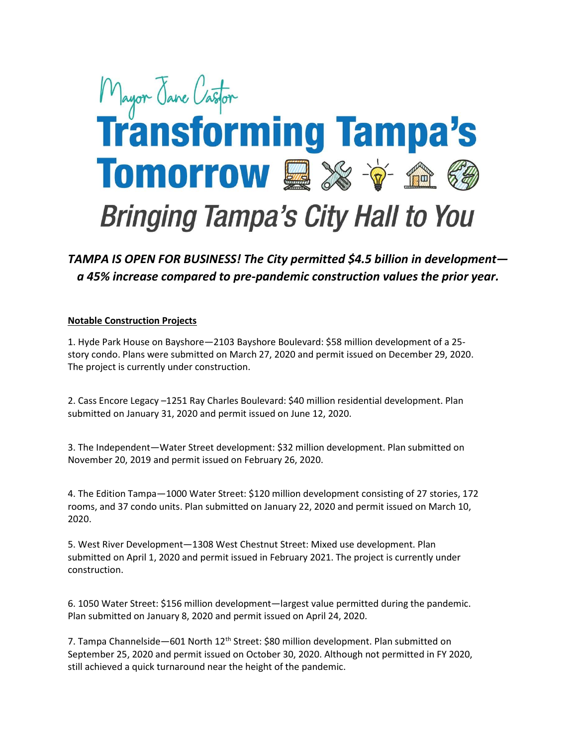# Mayor Jave Castor Tomorrow **ex**  $\mathbf{\hat{v}}$  a  $\mathbf{\hat{e}}$ **Bringing Tampa's City Hall to You**

## TAMPA IS OPEN FOR BUSINESS! The City permitted \$4.5 billion in development a 45% increase compared to pre-pandemic construction values the prior year.

#### Notable Construction Projects

1. Hyde Park House on Bayshore—2103 Bayshore Boulevard: \$58 million development of a 25 story condo. Plans were submitted on March 27, 2020 and permit issued on December 29, 2020. The project is currently under construction.

2. Cass Encore Legacy –1251 Ray Charles Boulevard: \$40 million residential development. Plan submitted on January 31, 2020 and permit issued on June 12, 2020.

3. The Independent—Water Street development: \$32 million development. Plan submitted on November 20, 2019 and permit issued on February 26, 2020.

4. The Edition Tampa—1000 Water Street: \$120 million development consisting of 27 stories, 172 rooms, and 37 condo units. Plan submitted on January 22, 2020 and permit issued on March 10, 2020.

5. West River Development—1308 West Chestnut Street: Mixed use development. Plan submitted on April 1, 2020 and permit issued in February 2021. The project is currently under construction.

6. 1050 Water Street: \$156 million development—largest value permitted during the pandemic. Plan submitted on January 8, 2020 and permit issued on April 24, 2020.

7. Tampa Channelside—601 North 12<sup>th</sup> Street: \$80 million development. Plan submitted on September 25, 2020 and permit issued on October 30, 2020. Although not permitted in FY 2020, still achieved a quick turnaround near the height of the pandemic.